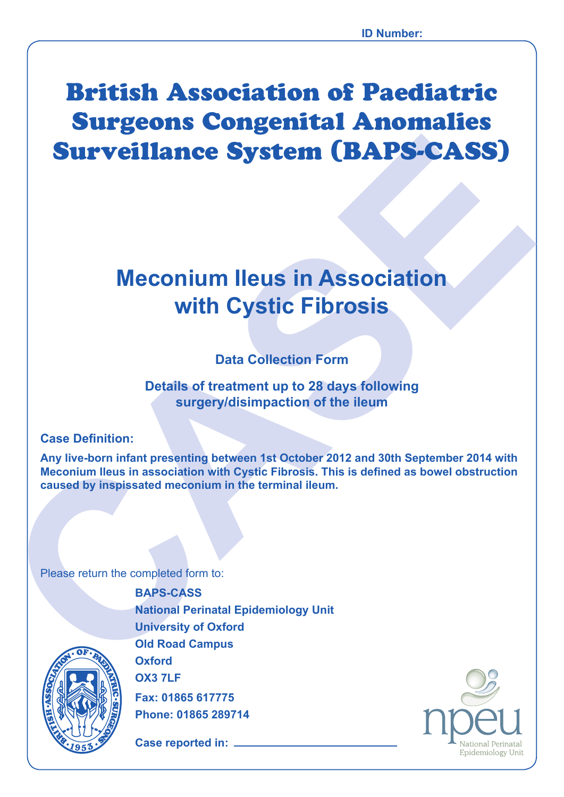# British Association of Paediatric Surgeons Congenital Anomalies Surveillance System (BAPS-CASS)

## **Meconium Ileus in Association with Cystic Fibrosis**

## **Data Collection Form**

**Details of treatment up to 28 days following surgery/disimpaction of the ileum**

### **Case Definition:**

**Surveillance System (BAPS-CASS)**<br>
Meconium Ileus in Association<br>
with Cystic Fibrosis<br>
Data Collection Form<br>
Details of reatment to 28 days following<br>
surgery/distingaction of the lieum<br>
Case Definition:<br>
Any live-born in **Any live-born infant presenting between 1st October 2012 and 30th September 2014 with Meconium Ileus in association with Cystic Fibrosis. This is defined as bowel obstruction caused by inspissated meconium in the terminal ileum.**

Please return the completed form to:

**BAPS-CASS National Perinatal Epidemiology Unit University of Oxford Old Road Campus Oxford OX3 7LF Fax: 01865 617775**

**Phone: 01865 289714**

**Case reported in:** 



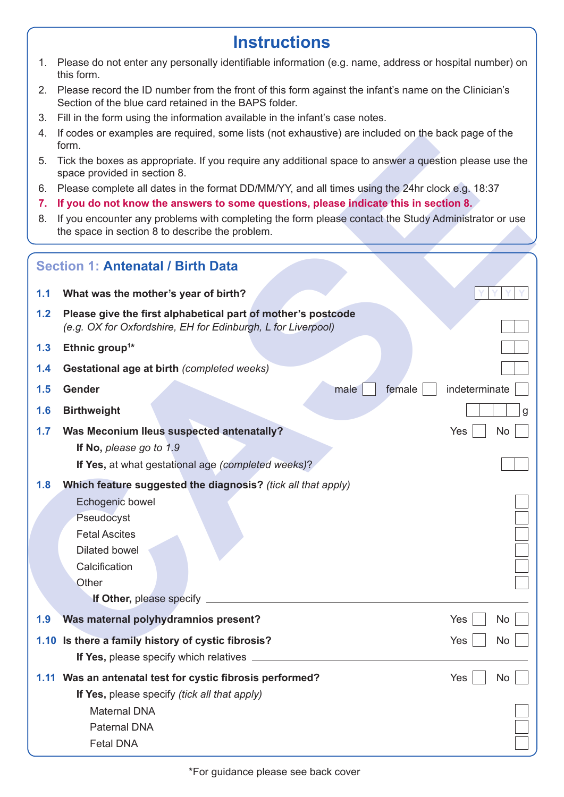## **Instructions**

- 1. Please do not enter any personally identifiable information (e.g. name, address or hospital number) on this form.
- 2. Please record the ID number from the front of this form against the infant's name on the Clinician's Section of the blue card retained in the BAPS folder.
- 3. Fill in the form using the information available in the infant's case notes.
- 4. If codes or examples are required, some lists (not exhaustive) are included on the back page of the form.
- 5. Tick the boxes as appropriate. If you require any additional space to answer a question please use the space provided in section 8.
- 6. Please complete all dates in the format DD/MM/YY, and all times using the 24hr clock e.g. 18:37
- **7. If you do not know the answers to some questions, please indicate this in section 8.**
- 8. If you encounter any problems with completing the form please contact the Study Administrator or use the space in section 8 to describe the problem.

| 4.  | li codes or examples are required, some lists (not exhaustive) are included on the back page of the<br>form.                                            |               |    |
|-----|---------------------------------------------------------------------------------------------------------------------------------------------------------|---------------|----|
| 5.  | Tick the boxes as appropriate. If you require any additional space to answer a question please use the<br>space provided in section 8.                  |               |    |
| 6.  | Please complete all dates in the format DD/MM/YY, and all times using the 24hr clock e.g. 18:37                                                         |               |    |
| 7.  | If you do not know the answers to some questions, please indicate this in section 8.                                                                    |               |    |
| 8.  | If you encounter any problems with completing the form please contact the Study Administrator or use<br>the space in section 8 to describe the problem. |               |    |
|     | <b>Section 1: Antenatal / Birth Data</b>                                                                                                                |               |    |
| 1.1 | What was the mother's year of birth?                                                                                                                    |               |    |
| 1.2 | Please give the first alphabetical part of mother's postcode<br>(e.g. OX for Oxfordshire, EH for Edinburgh, L for Liverpool)                            |               |    |
| 1.3 | Ethnic group <sup>1*</sup>                                                                                                                              |               |    |
| 1.4 | Gestational age at birth (completed weeks)                                                                                                              |               |    |
| 1.5 | Gender<br>female<br>male                                                                                                                                | indeterminate |    |
| 1.6 | <b>Birthweight</b>                                                                                                                                      |               |    |
| 1.7 | Was Meconium Ileus suspected antenatally?<br>If No, please go to 1.9                                                                                    | Yes           | No |
|     | If Yes, at what gestational age (completed weeks)?                                                                                                      |               |    |
| 1.8 | Which feature suggested the diagnosis? (tick all that apply)                                                                                            |               |    |
|     | Echogenic bowel                                                                                                                                         |               |    |
|     | Pseudocyst                                                                                                                                              |               |    |
|     | <b>Fetal Ascites</b>                                                                                                                                    |               |    |
|     | Dilated bowel                                                                                                                                           |               |    |
|     | Calcification                                                                                                                                           |               |    |
|     | Other                                                                                                                                                   |               |    |
|     |                                                                                                                                                         |               |    |
| 1.9 | Was maternal polyhydramnios present?                                                                                                                    | Yes           | No |
|     | 1.10 Is there a family history of cystic fibrosis?                                                                                                      | Yes           | No |
|     | If Yes, please specify which relatives _                                                                                                                |               |    |
|     | 1.11 Was an antenatal test for cystic fibrosis performed?                                                                                               | Yes           | No |
|     | If Yes, please specify (tick all that apply)                                                                                                            |               |    |
|     | <b>Maternal DNA</b>                                                                                                                                     |               |    |
|     | <b>Paternal DNA</b>                                                                                                                                     |               |    |
|     | <b>Fetal DNA</b>                                                                                                                                        |               |    |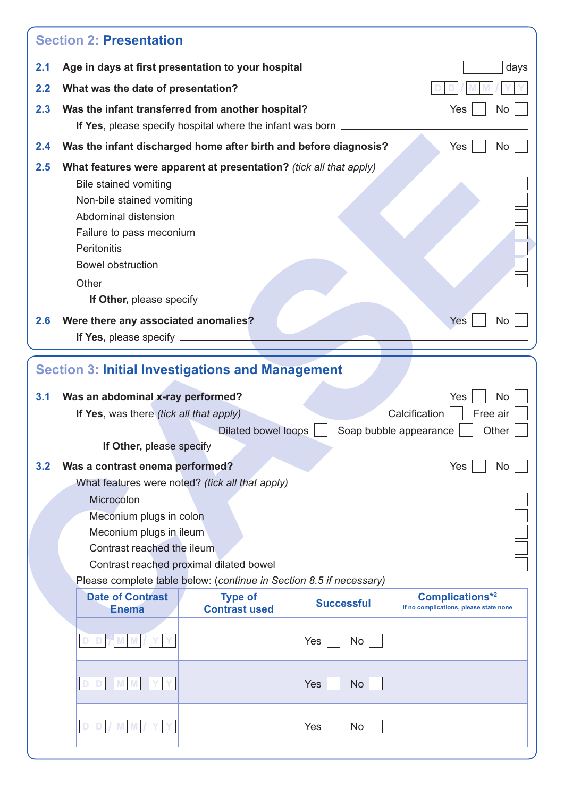| 2.1 | Age in days at first presentation to your hospital                                                                                                                        |                                                                     |                   | days                                                             |
|-----|---------------------------------------------------------------------------------------------------------------------------------------------------------------------------|---------------------------------------------------------------------|-------------------|------------------------------------------------------------------|
| 2.2 | What was the date of presentation?                                                                                                                                        |                                                                     |                   |                                                                  |
| 2.3 | Was the infant transferred from another hospital?                                                                                                                         |                                                                     |                   | <b>No</b><br>Yes                                                 |
|     |                                                                                                                                                                           | If Yes, please specify hospital where the infant was born.          |                   |                                                                  |
| 2.4 | Was the infant discharged home after birth and before diagnosis?                                                                                                          |                                                                     |                   | Yes<br>No                                                        |
| 2.5 | What features were apparent at presentation? (tick all that apply)                                                                                                        |                                                                     |                   |                                                                  |
|     | <b>Bile stained vomiting</b>                                                                                                                                              |                                                                     |                   |                                                                  |
|     | Non-bile stained vomiting                                                                                                                                                 |                                                                     |                   |                                                                  |
|     | Abdominal distension                                                                                                                                                      |                                                                     |                   |                                                                  |
|     | Failure to pass meconium                                                                                                                                                  |                                                                     |                   |                                                                  |
|     | Peritonitis                                                                                                                                                               |                                                                     |                   |                                                                  |
|     | <b>Bowel obstruction</b>                                                                                                                                                  |                                                                     |                   |                                                                  |
|     | Other                                                                                                                                                                     |                                                                     |                   |                                                                  |
|     | If Other, please specify _                                                                                                                                                |                                                                     |                   |                                                                  |
| 2.6 |                                                                                                                                                                           |                                                                     |                   | <b>Yes</b><br>No                                                 |
|     | Were there any associated anomalies?                                                                                                                                      |                                                                     |                   |                                                                  |
| 3.1 | If Yes, please specify _______<br><b>Section 3: Initial Investigations and Management</b><br>Was an abdominal x-ray performed?<br>If Yes, was there (tick all that apply) |                                                                     |                   | Yes<br>No<br>Calcification<br>Free air                           |
|     | If Other, please specify                                                                                                                                                  | <b>Dilated bowel loops</b>                                          |                   | Other<br>Soap bubble appearance                                  |
| 3.2 | Was a contrast enema performed?                                                                                                                                           |                                                                     |                   | Yes<br>No.                                                       |
|     |                                                                                                                                                                           | What features were noted? (tick all that apply)                     |                   |                                                                  |
|     | Microcolon                                                                                                                                                                |                                                                     |                   |                                                                  |
|     | Meconium plugs in colon                                                                                                                                                   |                                                                     |                   |                                                                  |
|     | Meconium plugs in ileum                                                                                                                                                   |                                                                     |                   |                                                                  |
|     | Contrast reached the ileum                                                                                                                                                |                                                                     |                   |                                                                  |
|     |                                                                                                                                                                           | Contrast reached proximal dilated bowel                             |                   |                                                                  |
|     |                                                                                                                                                                           | Please complete table below: (continue in Section 8.5 if necessary) |                   |                                                                  |
|     | <b>Date of Contrast</b><br><b>Enema</b>                                                                                                                                   | <b>Type of</b><br><b>Contrast used</b>                              | <b>Successful</b> | <b>Complications*2</b><br>If no complications, please state none |
|     |                                                                                                                                                                           |                                                                     |                   |                                                                  |
|     |                                                                                                                                                                           |                                                                     | <b>No</b><br>Yes  |                                                                  |
|     |                                                                                                                                                                           |                                                                     |                   |                                                                  |
|     |                                                                                                                                                                           |                                                                     |                   |                                                                  |
|     |                                                                                                                                                                           |                                                                     | Yes<br><b>No</b>  |                                                                  |
|     |                                                                                                                                                                           |                                                                     |                   |                                                                  |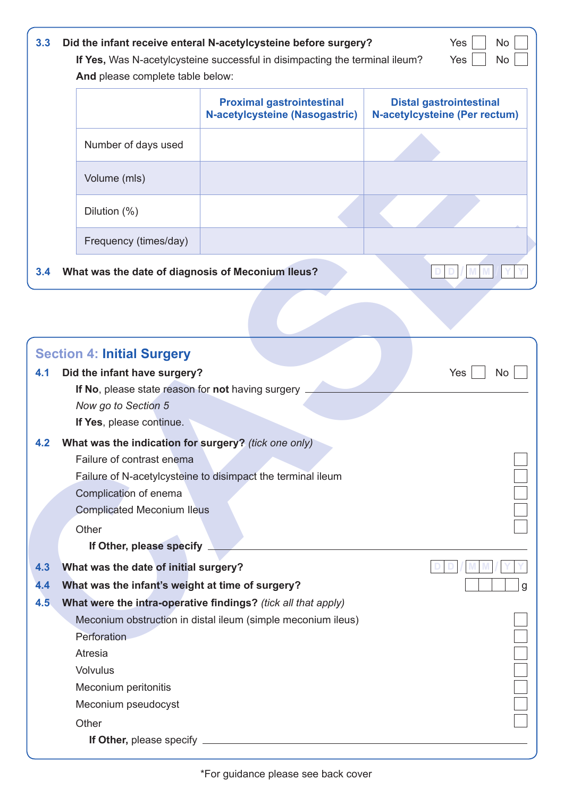| 3.3 | And please complete table below:                  | Did the infant receive enteral N-acetylcysteine before surgery?<br>If Yes, Was N-acetylcysteine successful in disimpacting the terminal ileum? | Yes<br><b>No</b><br>Yes<br><b>No</b>                                   |
|-----|---------------------------------------------------|------------------------------------------------------------------------------------------------------------------------------------------------|------------------------------------------------------------------------|
|     |                                                   | <b>Proximal gastrointestinal</b><br><b>N-acetylcysteine (Nasogastric)</b>                                                                      | <b>Distal gastrointestinal</b><br><b>N-acetylcysteine (Per rectum)</b> |
|     | Number of days used                               |                                                                                                                                                |                                                                        |
|     | Volume (mls)                                      |                                                                                                                                                |                                                                        |
|     | Dilution $(\%)$                                   |                                                                                                                                                |                                                                        |
|     | Frequency (times/day)                             |                                                                                                                                                |                                                                        |
| 3.4 | What was the date of diagnosis of Meconium Ileus? |                                                                                                                                                |                                                                        |

|     | Number of days used                                  |                                                               |           |
|-----|------------------------------------------------------|---------------------------------------------------------------|-----------|
|     | Volume (mls)                                         |                                                               |           |
|     | Dilution (%)                                         |                                                               |           |
|     | Frequency (times/day)                                |                                                               |           |
| 3.4 | What was the date of diagnosis of Meconium Ileus?    |                                                               |           |
|     |                                                      |                                                               |           |
|     | <b>Section 4: Initial Surgery</b>                    |                                                               |           |
| 4.1 | Did the infant have surgery?                         |                                                               | Yes<br>No |
|     | If No, please state reason for not having surgery    |                                                               |           |
|     | Now go to Section 5                                  |                                                               |           |
|     | If Yes, please continue.                             |                                                               |           |
| 4.2 | What was the indication for surgery? (tick one only) |                                                               |           |
|     | Failure of contrast enema                            |                                                               |           |
|     |                                                      | Failure of N-acetylcysteine to disimpact the terminal ileum   |           |
|     | Complication of enema                                |                                                               |           |
|     | <b>Complicated Meconium Ileus</b>                    |                                                               |           |
|     | Other                                                |                                                               |           |
|     | If Other, please specify                             |                                                               |           |
| 4.3 | What was the date of initial surgery?                |                                                               |           |
| 4.4 | What was the infant's weight at time of surgery?     |                                                               |           |
| 4.5 |                                                      | What were the intra-operative findings? (tick all that apply) |           |
|     |                                                      | Meconium obstruction in distal ileum (simple meconium ileus)  |           |
|     | Perforation                                          |                                                               |           |
|     | Atresia                                              |                                                               |           |
|     | <b>Volvulus</b>                                      |                                                               |           |
|     | Meconium peritonitis                                 |                                                               |           |
|     | Meconium pseudocyst                                  |                                                               |           |
|     | Other                                                |                                                               |           |
|     |                                                      |                                                               |           |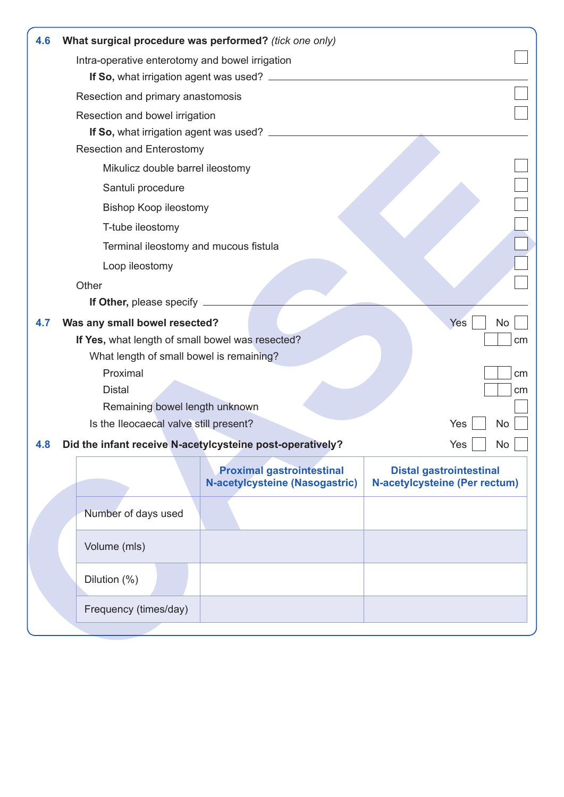| 4.6 |                                                  | What surgical procedure was performed? (tick one only)                    |                                                                        |
|-----|--------------------------------------------------|---------------------------------------------------------------------------|------------------------------------------------------------------------|
|     | Intra-operative enterotomy and bowel irrigation  |                                                                           |                                                                        |
|     |                                                  |                                                                           |                                                                        |
|     | Resection and primary anastomosis                |                                                                           |                                                                        |
|     | Resection and bowel irrigation                   |                                                                           |                                                                        |
|     |                                                  | If So, what irrigation agent was used?                                    |                                                                        |
|     | <b>Resection and Enterostomy</b>                 |                                                                           |                                                                        |
|     | Mikulicz double barrel ileostomy                 |                                                                           |                                                                        |
|     | Santuli procedure                                |                                                                           |                                                                        |
|     | <b>Bishop Koop ileostomy</b>                     |                                                                           |                                                                        |
|     | T-tube ileostomy                                 |                                                                           |                                                                        |
|     | Terminal ileostomy and mucous fistula            |                                                                           |                                                                        |
|     | Loop ileostomy                                   |                                                                           |                                                                        |
|     | Other                                            |                                                                           |                                                                        |
|     | If Other, please specify _____                   |                                                                           |                                                                        |
| 4.7 | Was any small bowel resected?                    |                                                                           | Yes<br>No                                                              |
|     | If Yes, what length of small bowel was resected? |                                                                           |                                                                        |
|     | What length of small bowel is remaining?         |                                                                           |                                                                        |
|     | Proximal                                         |                                                                           |                                                                        |
|     | <b>Distal</b>                                    |                                                                           | cm                                                                     |
|     | Remaining bowel length unknown                   |                                                                           |                                                                        |
|     | Is the Ileocaecal valve still present?           |                                                                           | Yes<br>No                                                              |
| 4.8 |                                                  | Did the infant receive N-acetylcysteine post-operatively?                 | Yes<br>No                                                              |
|     |                                                  | <b>Proximal gastrointestinal</b><br><b>N-acetylcysteine (Nasogastric)</b> | <b>Distal gastrointestinal</b><br><b>N-acetylcysteine (Per rectum)</b> |
|     | Number of days used                              |                                                                           |                                                                        |
|     | Volume (mls)                                     |                                                                           |                                                                        |
|     | Dilution (%)                                     |                                                                           |                                                                        |
|     |                                                  |                                                                           |                                                                        |
|     | Frequency (times/day)                            |                                                                           |                                                                        |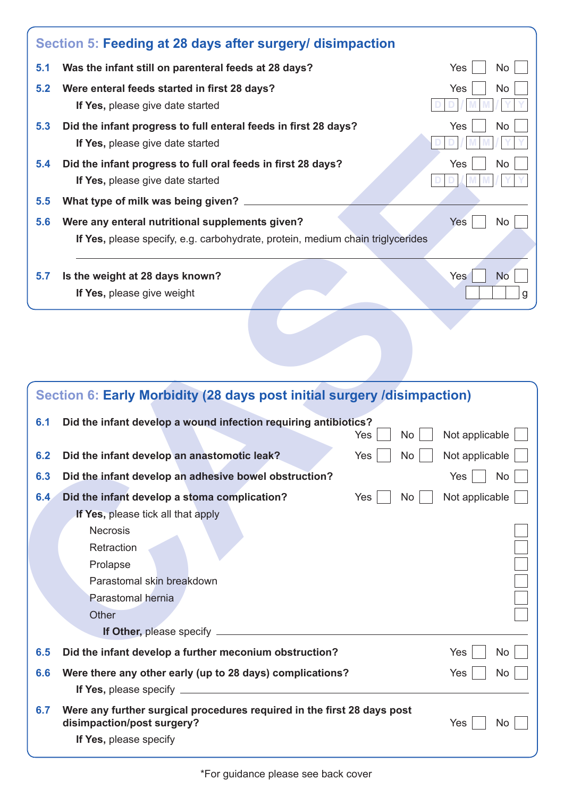|     | Section 5: Feeding at 28 days after surgery/ disimpaction                                                                         |                       |
|-----|-----------------------------------------------------------------------------------------------------------------------------------|-----------------------|
| 5.1 | Was the infant still on parenteral feeds at 28 days?                                                                              | Yes<br>No.            |
| 5.2 | Were enteral feeds started in first 28 days?<br>If Yes, please give date started                                                  | <b>Yes</b><br>No.     |
| 5.3 | Did the infant progress to full enteral feeds in first 28 days?<br>If Yes, please give date started                               | Yes<br>No             |
| 5.4 | Did the infant progress to full oral feeds in first 28 days?<br>If Yes, please give date started                                  | Yes<br><b>No</b>      |
| 5.5 | What type of milk was being given?                                                                                                |                       |
| 5.6 | Were any enteral nutritional supplements given?<br>If Yes, please specify, e.g. carbohydrate, protein, medium chain triglycerides | Yes<br>No             |
| 5.7 | Is the weight at 28 days known?<br>If Yes, please give weight                                                                     | Yes<br><b>No</b><br>a |
|     |                                                                                                                                   |                       |

|     | If Yes, please give date started                                                                                                                                                                        |                  |
|-----|---------------------------------------------------------------------------------------------------------------------------------------------------------------------------------------------------------|------------------|
| 5.4 | Did the infant progress to full oral feeds in first 28 days?<br>If Yes, please give date started                                                                                                        | No<br>Yes        |
| 5.5 | What type of milk was being given? _                                                                                                                                                                    |                  |
| 5.6 | Were any enteral nutritional supplements given?<br>If Yes, please specify, e.g. carbohydrate, protein, medium chain triglycerides                                                                       | Yes<br>No        |
| 5.7 | Is the weight at 28 days known?<br>If Yes, please give weight                                                                                                                                           | <b>No</b><br>Yes |
|     |                                                                                                                                                                                                         |                  |
|     | Section 6: Early Morbidity (28 days post initial surgery /disimpaction)                                                                                                                                 |                  |
| 6.1 | Did the infant develop a wound infection requiring antibiotics?<br>No<br>Yes                                                                                                                            | Not applicable   |
| 6.2 | Did the infant develop an anastomotic leak?<br>Yes<br>No                                                                                                                                                | Not applicable   |
| 6.3 | Did the infant develop an adhesive bowel obstruction?                                                                                                                                                   | Yes<br><b>No</b> |
| 6.4 | Did the infant develop a stoma complication?<br>No<br>Yes<br>If Yes, please tick all that apply<br><b>Necrosis</b><br>Retraction<br>Prolapse<br>Parastomal skin breakdown<br>Parastomal hernia<br>Other | Not applicable   |
| 6.5 | Did the infant develop a further meconium obstruction?                                                                                                                                                  | Yes<br>No        |
| 6.6 | Were there any other early (up to 28 days) complications?                                                                                                                                               | Yes<br>No.       |
| 6.7 | Were any further surgical procedures required in the first 28 days post<br>disimpaction/post surgery?<br>If Yes, please specify                                                                         | Yes<br>No.       |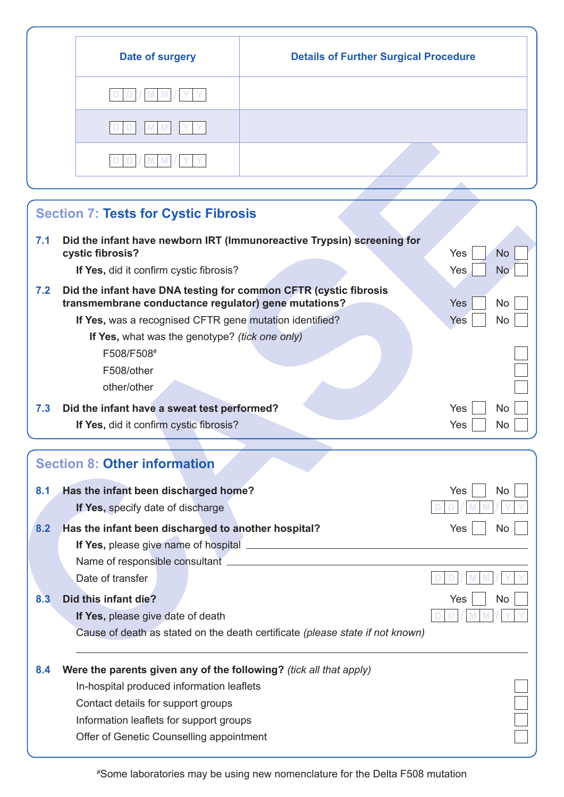| <b>Details of Further Surgical Procedure</b> |
|----------------------------------------------|
|                                              |
|                                              |
|                                              |
|                                              |

|     | <b>Section 7: Tests for Cystic Fibrosis</b>                                         |                         |
|-----|-------------------------------------------------------------------------------------|-------------------------|
| 7.1 | Did the infant have newborn IRT (Immunoreactive Trypsin) screening for              |                         |
|     | cystic fibrosis?                                                                    | <b>No</b><br>Yes        |
|     | If Yes, did it confirm cystic fibrosis?                                             | Yes<br><b>No</b>        |
| 7.2 | Did the infant have DNA testing for common CFTR (cystic fibrosis                    |                         |
|     | transmembrane conductance regulator) gene mutations?                                | <b>Yes</b><br><b>No</b> |
|     | If Yes, was a recognised CFTR gene mutation identified?                             | Yes<br><b>No</b>        |
|     | If Yes, what was the genotype? (tick one only)                                      |                         |
|     | F508/F508#                                                                          |                         |
|     | F508/other                                                                          |                         |
|     | other/other                                                                         |                         |
| 7.3 | Did the infant have a sweat test performed?                                         | Yes<br>No               |
|     | If Yes, did it confirm cystic fibrosis?                                             | Yes<br><b>No</b>        |
|     |                                                                                     |                         |
|     | <b>Section 8: Other information</b>                                                 |                         |
| 8.1 | Has the infant been discharged home?                                                | Yes<br><b>No</b>        |
|     | If Yes, specify date of discharge                                                   |                         |
| 8.2 | Has the infant been discharged to another hospital?                                 | Yes<br>No               |
|     | If Yes, please give name of hospital                                                |                         |
|     | Name of responsible consultant.                                                     |                         |
|     | Date of transfer                                                                    |                         |
| 8.3 | Did this infant die?                                                                | No<br>Yes               |
|     | If Yes, please give date of death                                                   |                         |
|     | Cause of death as stated on the death certificate (please state if not known)       |                         |
| 8.4 | Were the parents given any of the following? (tick all that apply)                  |                         |
|     | In-hospital produced information leaflets                                           |                         |
|     | Contact details for support groups                                                  |                         |
|     |                                                                                     |                         |
|     |                                                                                     |                         |
|     | Information leaflets for support groups<br>Offer of Genetic Counselling appointment |                         |